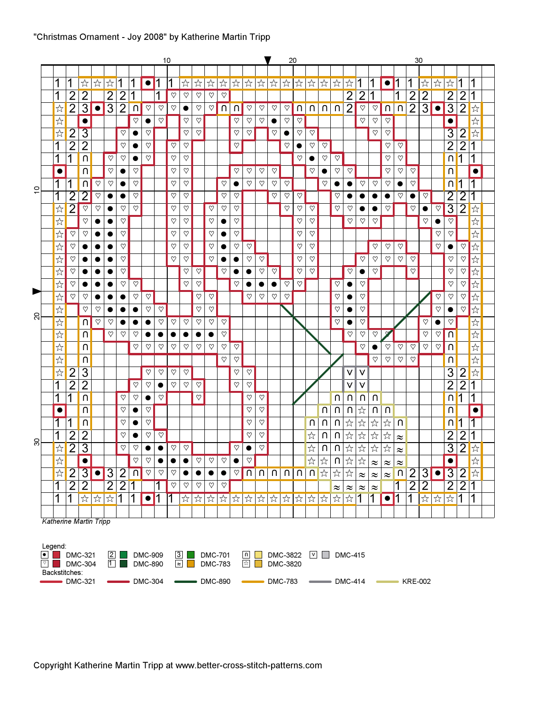|                |                         |                                    | 10<br>v<br>20  |                                |                               |                      |                |              |                |              |              |              |              |                         |                              |                              |                          |              |               | 30           |                              |                                   |                         |                                |                                    |                         |                                    |                                |                         |                         |                      |                      |                         |                |                                    |  |
|----------------|-------------------------|------------------------------------|----------------|--------------------------------|-------------------------------|----------------------|----------------|--------------|----------------|--------------|--------------|--------------|--------------|-------------------------|------------------------------|------------------------------|--------------------------|--------------|---------------|--------------|------------------------------|-----------------------------------|-------------------------|--------------------------------|------------------------------------|-------------------------|------------------------------------|--------------------------------|-------------------------|-------------------------|----------------------|----------------------|-------------------------|----------------|------------------------------------|--|
|                |                         |                                    |                |                                |                               |                      |                |              |                |              |              |              |              |                         |                              |                              |                          |              |               |              |                              |                                   |                         |                                |                                    |                         |                                    |                                |                         |                         |                      |                      |                         |                |                                    |  |
|                | 1                       |                                    | 1              | ☆                              | ☆                             | ☆                    | 1              | 1            | $\bullet$      | 1            | 1            | ☆            | ☆            | ☆                       | ☆                            | ☆                            | ☆                        | ☆            | ☆             | ☆            | $\stackrel{\wedge}{\bowtie}$ | ☆                                 | ☆                       | ☆                              | ☆                                  |                         |                                    | $\bullet$                      | 1                       | 1                       | ☆                    | ☆                    | ☆                       |                |                                    |  |
|                | 1                       |                                    | $\overline{2}$ | $\overline{2}$                 |                               | $\overline{2}$       | $\overline{2}$ |              |                | 1            | $\heartsuit$ | $\heartsuit$ | $\heartsuit$ | $\heartsuit$            | $\heartsuit$                 |                              |                          |              |               |              |                              |                                   |                         |                                | $\overline{2}$                     | $\overline{2}$          |                                    |                                | 1                       | $\overline{2}$          | $\overline{2}$       |                      | $\overline{2}$          | $\overline{2}$ |                                    |  |
|                |                         | $x^4$                              | $\overline{2}$ | $\overline{3}$                 | $\bullet$                     | $\overline{3}$       | $\overline{2}$ | $\cap$       | $\heartsuit$   | $\heartsuit$ | $\heartsuit$ | $\bullet$    | $\heartsuit$ | $\heartsuit$            | U                            | U                            | $\heartsuit$             | $\heartsuit$ | $\heartsuit$  | $\heartsuit$ | U                            | $\cap$                            | U                       | $\cap$                         | $\overline{2}$                     | $\overline{\heartsuit}$ | $\heartsuit$                       | $\boldsymbol{\mathsf{\Omega}}$ | $\overline{\Omega}$     | $\overline{2}$          | $\overline{3}$       | $\bullet$            | $\overline{3}$          | $\overline{2}$ | $\stackrel{\wedge}{\bowtie}$       |  |
|                |                         | $x^4$                              |                | $\bullet$                      |                               |                      |                | $\heartsuit$ |                | $\heartsuit$ |              | $\heartsuit$ | $\heartsuit$ |                         |                              | $\heartsuit$                 | $\heartsuit$             | $\heartsuit$ | $\bullet$     | $\heartsuit$ | $\heartsuit$                 |                                   |                         |                                |                                    | $\heartsuit$            | $\heartsuit$                       | $\heartsuit$                   |                         |                         |                      |                      | $\bullet$               |                | $x^4$                              |  |
|                |                         | ☆                                  | $\overline{2}$ | $\overline{3}$                 |                               |                      | $\heartsuit$   | $\bullet$    | $\heartsuit$   |              |              | $\heartsuit$ | $\heartsuit$ |                         |                              | $\heartsuit$                 | $\heartsuit$             |              | $\heartsuit$  | $\bullet$    | $\heartsuit$                 | $\heartsuit$                      |                         |                                |                                    |                         | $\heartsuit$                       | $\heartsuit$                   |                         |                         |                      |                      | $\overline{3}$          | $\overline{2}$ | ☆                                  |  |
|                | 1                       |                                    | $\overline{2}$ | $\overline{2}$                 |                               |                      | $\heartsuit$   |              | $\heartsuit$   |              | $\heartsuit$ | $\heartsuit$ |              |                         |                              | $\heartsuit$                 |                          |              |               | $\heartsuit$ | $\bullet$                    | $\heartsuit$                      | $\overline{\heartsuit}$ |                                |                                    |                         |                                    | $\heartsuit$                   | $\overline{\heartsuit}$ |                         |                      |                      | $\overline{2}$          | $\overline{2}$ | 1                                  |  |
|                | 1                       |                                    | 1              | U                              |                               | $\heartsuit$         | $\heartsuit$   |              | $\heartsuit$   |              | $\heartsuit$ | $\heartsuit$ |              |                         |                              |                              |                          |              |               |              | $\heartsuit$                 | $\bullet$                         | ♡                       | $\heartsuit$                   |                                    |                         |                                    | $\heartsuit$                   | $\heartsuit$            |                         |                      |                      | $\cap$                  | 1              | 1                                  |  |
|                |                         | $\bullet$                          |                | U                              |                               | $\heartsuit$         | $\bullet$      | ♡            |                |              | $\heartsuit$ | $\heartsuit$ |              |                         |                              | $\heartsuit$                 | $\heartsuit$             | $\heartsuit$ | $\heartsuit$  |              |                              | $\heartsuit$                      | $\bullet$               | $\heartsuit$                   | $\heartsuit$                       |                         |                                    | $\heartsuit$                   | $\heartsuit$            | $\heartsuit$            |                      |                      | U                       |                | $\bullet$                          |  |
|                | 1                       |                                    | 1              | $\cap$                         | $\heartsuit$                  | $\heartsuit$         |                | $\heartsuit$ |                |              | $\heartsuit$ | $\heartsuit$ |              |                         | $\heartsuit$                 |                              | $\heartsuit$             | $\heartsuit$ | $\heartsuit$  | $\heartsuit$ |                              |                                   | $\heartsuit$            | 0                              | 0                                  | $\heartsuit$            | $\heartsuit$                       | $\heartsuit$                   | $\bullet$               | $\heartsuit$            |                      |                      | U                       | 1              | 1                                  |  |
| $\tilde{c}$    | 1                       |                                    | $\overline{2}$ | $\overline{2}$                 | $\heartsuit$                  | $\bullet$            | $\bullet$      | $\heartsuit$ |                |              | $\heartsuit$ | $\heartsuit$ |              |                         | $\heartsuit$                 | $\heartsuit$                 |                          |              | $\heartsuit$  | $\heartsuit$ | $\heartsuit$                 |                                   |                         | $\heartsuit$                   | $\bullet$                          | $\bullet$               | $\bullet$                          | $\bullet$                      | $\heartsuit$            | $\bullet$               | $\heartsuit$         |                      | $\overline{2}$          | $\overline{2}$ |                                    |  |
|                |                         | $x^4$                              | $\overline{2}$ | $\heartsuit$                   | $\heartsuit$                  | $\bullet$            | $\heartsuit$   | $\heartsuit$ |                |              | $\heartsuit$ | $\heartsuit$ |              | $\overline{\heartsuit}$ | $\heartsuit$                 | $\heartsuit$                 |                          |              |               | $\heartsuit$ | $\heartsuit$                 | $\heartsuit$                      |                         | $\heartsuit$                   | $\heartsuit$                       | 0                       |                                    | $\heartsuit$                   |                         | $\heartsuit$            | $\bullet$            | $\heartsuit$         | $\overline{3}$          | $\overline{2}$ | $\stackrel{\wedge}{\bowtie}$       |  |
|                |                         | ☆                                  |                | $\heartsuit$                   |                               |                      | $\heartsuit$   |              |                |              | $\heartsuit$ | $\heartsuit$ |              | $\heartsuit$            | $\bullet$                    | $\heartsuit$                 |                          |              |               |              | $\heartsuit$                 | $\heartsuit$                      |                         |                                | $\heartsuit$                       | $\heartsuit$            | $\heartsuit$                       |                                |                         |                         | $\heartsuit$         |                      | $\overline{\heartsuit}$ |                | $x^4$                              |  |
|                |                         | ☆                                  | $\heartsuit$   | $\heartsuit$                   |                               |                      | $\heartsuit$   |              |                |              | $\heartsuit$ | $\heartsuit$ |              | $\heartsuit$            |                              | $\heartsuit$                 |                          |              |               |              | $\heartsuit$                 | $\heartsuit$                      |                         |                                |                                    |                         |                                    |                                |                         |                         |                      | $\heartsuit$         | $\heartsuit$            |                | $x^4$                              |  |
|                |                         | $x^2$                              | $\heartsuit$   | $\bullet$                      |                               | 0                    | $\heartsuit$   |              |                |              | $\heartsuit$ | $\heartsuit$ |              | $\heartsuit$            | $\bullet$                    | $\heartsuit$                 | $\overline{\heartsuit}$  |              |               |              | $\heartsuit$                 | $\heartsuit$                      |                         |                                |                                    |                         | $\heartsuit$                       | $\overline{\heartsuit}$        | $\overline{\heartsuit}$ |                         |                      | $\heartsuit$         | $\bullet$               | $\heartsuit$   | $x^4$                              |  |
|                |                         | ☆                                  | $\heartsuit$   |                                |                               |                      | $\heartsuit$   |              |                |              | $\heartsuit$ | $\heartsuit$ |              | ♡                       |                              | $\bullet$                    | $\heartsuit$             | $\heartsuit$ |               |              | ♡                            | $\heartsuit$                      |                         |                                |                                    | $\heartsuit$            | $\heartsuit$                       | $\heartsuit$                   | $\heartsuit$            | $\overline{\heartsuit}$ |                      |                      | $\heartsuit$            | $\heartsuit$   | $x^4$                              |  |
|                |                         | ☆                                  | $\heartsuit$   | $\bullet$                      |                               |                      | $\heartsuit$   |              |                |              |              | $\heartsuit$ | $\heartsuit$ |                         | $\heartsuit$                 | $\bullet$                    | $\bullet$                | $\heartsuit$ | $\heartsuit$  |              | $\heartsuit$                 | $\heartsuit$                      |                         |                                | $\heartsuit$                       | $\bullet$               | $\heartsuit$                       |                                |                         | $\heartsuit$            |                      |                      | $\heartsuit$            | $\heartsuit$   | ☆                                  |  |
|                |                         | $\overline{\mathbb{X}}$            | $\heartsuit$   |                                |                               |                      | $\heartsuit$   | $\heartsuit$ |                |              |              | $\heartsuit$ | $\heartsuit$ |                         |                              | $\heartsuit$                 |                          | $\bullet$    | $\bullet$     | $\heartsuit$ | $\heartsuit$                 |                                   |                         | $\heartsuit$                   | $\bullet$                          | $\heartsuit$            |                                    |                                |                         |                         |                      |                      | $\heartsuit$            | $\heartsuit$   | $x^4$                              |  |
| Þ              |                         | $x^4$                              | $\heartsuit$   | $\heartsuit$                   |                               |                      |                | ♡            | $\heartsuit$   |              |              |              | $\heartsuit$ | $\heartsuit$            |                              |                              | $\heartsuit$             | $\heartsuit$ | $\heartsuit$  | $\heartsuit$ |                              |                                   |                         | $\heartsuit$                   |                                    | $\heartsuit$            |                                    |                                |                         |                         |                      | $\heartsuit$         | $\heartsuit$            | $\heartsuit$   | $\overleftrightarrow{\mathcal{L}}$ |  |
|                |                         | ☆                                  |                | $\heartsuit$                   | $\heartsuit$                  | $\bullet$            | $\bullet$      | $\bullet$    | $\heartsuit$   | $\heartsuit$ |              |              | $\heartsuit$ | $\heartsuit$            |                              |                              |                          |              |               |              |                              |                                   |                         | $\heartsuit$                   | $\bullet$                          | $\heartsuit$            |                                    |                                |                         |                         |                      | $\heartsuit$         | $\bullet$               | $\heartsuit$   | $\frac{1}{\sqrt{2}}$               |  |
| $\overline{c}$ |                         | ☆                                  |                | U                              | $\heartsuit$                  | $\heartsuit$         |                |              |                | $\heartsuit$ | $\heartsuit$ | $\heartsuit$ | $\heartsuit$ | $\heartsuit$            | $\heartsuit$                 |                              |                          |              |               |              |                              |                                   |                         | $\heartsuit$                   | $\bullet$                          | $\heartsuit$            |                                    |                                |                         |                         | $\heartsuit$         | $\bullet$            | $\heartsuit$            |                | ☆                                  |  |
|                |                         | $x^4$                              |                | U                              |                               | $\heartsuit$         | $\heartsuit$   | ♡            |                |              |              |              |              |                         | $\heartsuit$                 |                              |                          |              |               |              |                              |                                   |                         |                                | $\heartsuit$                       | $\heartsuit$            | $\heartsuit$                       | $\Omega$                       |                         |                         | $\heartsuit$         | $\heartsuit$         | $\overline{\Omega}$     |                | $\overline{\mathbb{X}}$            |  |
|                |                         | $\overleftrightarrow{\mathcal{L}}$ |                | U                              |                               |                      |                | $\heartsuit$ | $\heartsuit$   | $\heartsuit$ | $\heartsuit$ | $\heartsuit$ | $\heartsuit$ | $\heartsuit$            | $\heartsuit$                 | $\heartsuit$                 |                          |              |               |              |                              |                                   |                         |                                |                                    | $\heartsuit$            | $\bullet$                          | $\heartsuit$                   | $\heartsuit$            | $\heartsuit$            | $\heartsuit$         | $\heartsuit$         | U                       |                | $x^4$                              |  |
|                |                         | $x^4$                              |                | U                              |                               |                      |                |              |                |              |              |              |              |                         | $\heartsuit$                 | $\heartsuit$                 |                          |              |               |              |                              |                                   |                         |                                |                                    |                         | $\heartsuit$                       | $\heartsuit$                   | $\heartsuit$            | $\heartsuit$            |                      |                      | U                       |                | x <sup>2</sup>                     |  |
|                |                         | $x^4$                              | $\overline{c}$ | $\overline{3}$                 |                               |                      |                |              | $\heartsuit$   | $\heartsuit$ | $\heartsuit$ | $\heartsuit$ |              |                         |                              | $\heartsuit$                 | $\heartsuit$             |              |               |              |                              |                                   |                         |                                | ٧                                  | ٧                       |                                    |                                |                         |                         |                      |                      | $\overline{3}$          | $\overline{2}$ | $x^4$                              |  |
|                | 1                       |                                    | $\overline{2}$ | $\overline{2}$                 |                               |                      |                | $\heartsuit$ | $\heartsuit$   | $\bullet$    | $\heartsuit$ | $\heartsuit$ | $\heartsuit$ |                         |                              | $\heartsuit$                 | $\heartsuit$             |              |               |              |                              |                                   |                         |                                | ٧                                  | V                       |                                    |                                |                         |                         |                      |                      | $\overline{2}$          | $\overline{2}$ | 1                                  |  |
|                | 1                       |                                    | 1              | $\boldsymbol{\mathsf{\Omega}}$ |                               |                      | $\heartsuit$   | $\heartsuit$ |                | ♡            |              |              | $\heartsuit$ |                         |                              |                              | $\heartsuit$             | $\heartsuit$ |               |              |                              |                                   |                         | U                              | U                                  | U                       | U                                  |                                |                         |                         |                      |                      | U                       | 1              | 1                                  |  |
|                |                         | $\bullet$                          |                | U                              |                               |                      | $\heartsuit$   |              | $\heartsuit$   |              |              |              |              |                         |                              |                              | $\heartsuit$             | $\heartsuit$ |               |              |                              |                                   | U                       | U                              | U                                  | ☆                       | U                                  | U                              |                         |                         |                      |                      | U                       |                | $\bullet$                          |  |
|                | $\overline{\mathbf{1}}$ |                                    | 1              | $\cap$                         |                               |                      | $\heartsuit$   | $\bullet$    | $\heartsuit$   |              |              |              |              |                         |                              |                              | $\heartsuit$             | $\heartsuit$ |               |              |                              | U                                 | $\cap$                  | $\boldsymbol{\mathsf{\Omega}}$ | $\frac{1}{\sqrt{2}}$               | $\frac{1}{\sqrt{2}}$    | $\overleftrightarrow{\mathcal{L}}$ | ☆                              | U                       |                         |                      |                      | $\boldsymbol{\cap}$     | 1              | 1                                  |  |
|                | 1                       |                                    |                | $\overline{2}$                 |                               |                      | $\heartsuit$   |              | $\heartsuit$   | $\heartsuit$ |              |              |              |                         |                              |                              | $\heartsuit$             | $\heartsuit$ |               |              |                              | ☆                                 | U                       | U                              | $\overleftrightarrow{\mathcal{K}}$ | $\frac{1}{\sqrt{2}}$    | $x^4$                              | $x^4$                          | $\approx$               |                         |                      |                      | $\overline{2}$          | $\overline{2}$ | 1                                  |  |
| 90             |                         | $\frac{1}{\sqrt{2}}$               | $\frac{2}{2}$  | $\overline{3}$                 |                               |                      | $\heartsuit$   | $\heartsuit$ | $\bullet$      | $\bullet$    | $\heartsuit$ | $\heartsuit$ |              |                         |                              | $\heartsuit$                 | $\bullet$                | $\heartsuit$ |               |              |                              | $\frac{1}{\sqrt{2}}$              | $\boldsymbol{\cap}$     | $\boldsymbol{\cap}$            | $\frac{1}{2}$                      | $\frac{1}{\sqrt{2}}$    | $\frac{1}{\sqrt{2}}$               | 玲                              | $\approx$               |                         |                      |                      | $\overline{3}$          | $\overline{2}$ | $x^2$                              |  |
|                |                         | ☆                                  |                | $\bullet$                      |                               |                      |                | ♡            | $\heartsuit$   |              |              | ●            | ♡            | $\heartsuit$            | $\heartsuit$                 | $\bullet$                    | $\heartsuit$             |              |               |              |                              | ☆                                 | ☆                       | U                              | ☆                                  | ☆                       | $\approx$                          | $\approx$                      | $\approx$               |                         |                      |                      | $\bullet$               |                | ☆                                  |  |
|                |                         | $x^4$                              | $\overline{2}$ | $\overline{3}$                 | $\bullet$                     | 3                    | 2              | $\cap$       | $\heartsuit$   | $\heartsuit$ | $\heartsuit$ |              |              |                         |                              | $\heartsuit$                 |                          |              | n n n         |              |                              | $n \mid n \mid n \mid \mathbb{R}$ |                         | ☆                              | $\frac{1}{\mathcal{N}}$            | $\approx$               | $\approx$                          | $\approx$                      | $\cap$                  | $\overline{2}$          | 3                    | $\bullet$            | $\overline{3}$          | $\overline{2}$ | $\frac{1}{\sqrt{2}}$               |  |
|                | 1                       |                                    | $\overline{2}$ | $\overline{2}$                 |                               | $\overline{2}$       | $\overline{2}$ | 1            |                | 1            | $\heartsuit$ | $\heartsuit$ | $\heartsuit$ | $\heartsuit$            | $\heartsuit$                 |                              |                          |              |               |              |                              |                                   |                         | $\approx$                      | $\approx$                          | $\approx$               | $\approx$                          |                                | $\overline{\mathbf{1}}$ | $\overline{2}$          | $\overline{2}$       |                      | $\overline{2}$          | $\overline{2}$ | 1                                  |  |
|                | 1                       |                                    | 1              | ☆                              | $\frac{1}{\sqrt{2}}$          | $\frac{1}{\sqrt{2}}$ | 1              | 1            | $\bullet$      | 1            |              | ☆            | ☆│           | $\frac{1}{\sqrt{2}}$    | $\stackrel{\wedge}{\bowtie}$ | $\stackrel{\wedge}{\bowtie}$ |                          | ☆☆           | $\frac{1}{2}$ | ☆☆           |                              | $\stackrel{\wedge}{\bowtie}$      | $\frac{1}{\sqrt{2}}$    | ☆                              | ☆                                  | 1                       | 1                                  | $\bullet$                      | 1                       | $\overline{1}$          | $\frac{1}{\sqrt{2}}$ | $\frac{1}{\sqrt{2}}$ | $\frac{1}{\sqrt{2}}$    | 1              | 1                                  |  |
|                |                         |                                    |                |                                |                               |                      |                |              |                |              |              |              |              |                         |                              |                              |                          |              |               |              |                              |                                   |                         |                                |                                    |                         |                                    |                                |                         |                         |                      |                      |                         |                |                                    |  |
|                |                         |                                    |                |                                | <b>Katherine Martin Tripp</b> |                      |                |              |                |              |              |              |              |                         |                              |                              |                          |              |               |              |                              |                                   |                         |                                |                                    |                         |                                    |                                |                         |                         |                      |                      |                         |                |                                    |  |
|                | Legend:                 |                                    |                |                                |                               |                      |                |              |                |              |              |              |              |                         |                              |                              |                          |              |               |              |                              |                                   |                         |                                |                                    |                         |                                    |                                |                         |                         |                      |                      |                         |                |                                    |  |
| $\bullet$      |                         |                                    |                | <b>DMC-321</b>                 |                               | $\lfloor 2 \rfloor$  |                |              | <b>DMC-909</b> |              | $\sqrt{3}$   |              |              |                         | <b>DMC-701</b>               |                              | $\lfloor n \rfloor$      |              |               | DMC-3822     |                              |                                   | $\mathsf V$             |                                | <b>DMC-415</b>                     |                         |                                    |                                |                         |                         |                      |                      |                         |                |                                    |  |
| $\heartsuit$   | Backstitches:           |                                    |                | <b>DMC-304</b>                 |                               | $\boxed{1}$          |                |              | <b>DMC-890</b> |              | $\approx$    |              |              |                         | <b>DMC-783</b>               |                              | $\frac{1}{\lambda\zeta}$ | T.           |               | DMC-3820     |                              |                                   |                         |                                |                                    |                         |                                    |                                |                         |                         |                      |                      |                         |                |                                    |  |

DMC-321 DMC-304 DMC-890 DMC-783 DMC-414 KRE-002

## "Christmas Ornament - Joy 2008" by Katherine Martin Tripp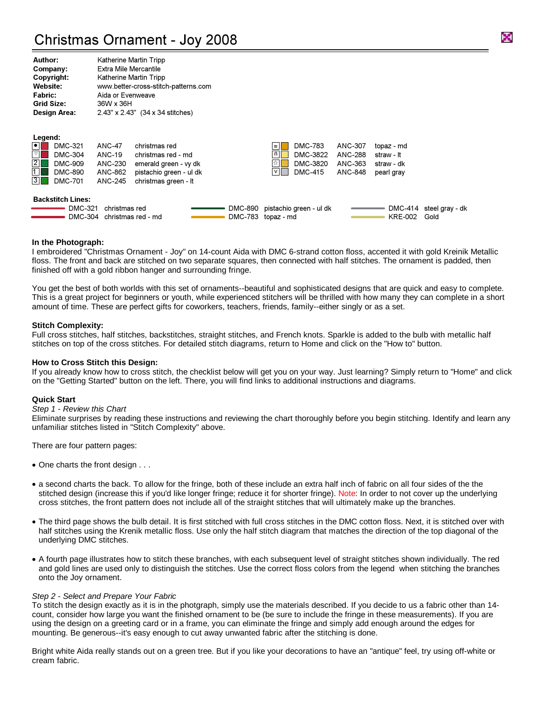# Christmas Ornament - Joy 2008

| Author:             | Katherine Martin Tripp               |
|---------------------|--------------------------------------|
| Company:            | <b>Extra Mile Mercantile</b>         |
| Copyright:          | Katherine Martin Tripp               |
| <b>Website:</b>     | www.better-cross-stitch-patterns.com |
| <b>Fabric:</b>      | Aida or Evenweave                    |
| <b>Grid Size:</b>   | 36W x 36H                            |
| <b>Design Area:</b> | 2.43" x 2.43" (34 x 34 stitches)     |

| Legend:                                                                               |                                             |                                                                          |         |                                                                                          |                    |                          |                                 |
|---------------------------------------------------------------------------------------|---------------------------------------------|--------------------------------------------------------------------------|---------|------------------------------------------------------------------------------------------|--------------------|--------------------------|---------------------------------|
| $\boxed{\bullet}$<br><b>DMC-321</b><br>$\heartsuit$<br><b>DMC-304</b><br>$\boxed{2}$  | <b>ANC-47</b><br>ANC-19                     | christmas red<br>christmas red - md                                      |         | <b>DMC-783</b><br>$\approx$ $\blacksquare$<br>DMC-3822<br>$\vert \mathsf{n} \vert \vert$ | ANC-307<br>ANC-288 | topaz - md<br>straw - It |                                 |
| <b>DMC-909</b><br>1<br><b>DMC-890</b><br>$\overline{3}\overline{1}$<br><b>DMC-701</b> | ANC-230<br>ANC-862<br>ANC-245               | emerald green - vy dk<br>pistachio green - ul dk<br>christmas green - It |         | ☆∥<br>DMC-3820<br>VI<br><b>DMC-415</b>                                                   | ANC-363<br>ANC-848 | straw - dk<br>pearl gray |                                 |
| <b>Backstitch Lines:</b><br>DMC-321                                                   | christmas red<br>DMC-304 christmas red - md |                                                                          | DMC-890 | pistachio green - ul dk<br>DMC-783 topaz - md                                            |                    | <b>KRE-002</b>           | DMC-414 steel gray - dk<br>Gold |

#### **In the Photograph:**

I embroidered "Christmas Ornament - Joy" on 14-count Aida with DMC 6-strand cotton floss, accented it with gold Kreinik Metallic floss. The front and back are stitched on two separate squares, then connected with half stitches. The ornament is padded, then finished off with a gold ribbon hanger and surrounding fringe.

You get the best of both worlds with this set of ornaments--beautiful and sophisticated designs that are quick and easy to complete. This is a great project for beginners or youth, while experienced stitchers will be thrilled with how many they can complete in a short amount of time. These are perfect gifts for coworkers, teachers, friends, family--either singly or as a set.

#### **Stitch Complexity:**

Full cross stitches, half stitches, backstitches, straight stitches, and French knots. Sparkle is added to the bulb with metallic half stitches on top of the cross stitches. For detailed stitch diagrams, return to Home and click on the "How to" button.

#### **How to Cross Stitch this Design:**

If you already know how to cross stitch, the checklist below will get you on your way. Just learning? Simply return to "Home" and click on the "Getting Started" button on the left. There, you will find links to additional instructions and diagrams.

#### **Quick Start**

#### Step 1 - Review this Chart

Eliminate surprises by reading these instructions and reviewing the chart thoroughly before you begin stitching. Identify and learn any unfamiliar stitches listed in "Stitch Complexity" above.

There are four pattern pages:

- One charts the front design . . .
- a second charts the back. To allow for the fringe, both of these include an extra half inch of fabric on all four sides of the the stitched design (increase this if you'd like longer fringe; reduce it for shorter fringe). Note: In order to not cover up the underlying cross stitches, the front pattern does not include all of the straight stitches that will ultimately make up the branches.
- The third page shows the bulb detail. It is first stitched with full cross stitches in the DMC cotton floss. Next, it is stitched over with half stitches using the Krenik metallic floss. Use only the half stitch diagram that matches the direction of the top diagonal of the underlying DMC stitches.
- A fourth page illustrates how to stitch these branches, with each subsequent level of straight stitches shown individually. The red and gold lines are used only to distinguish the stitches. Use the correct floss colors from the legend when stitching the branches onto the Joy ornament.

#### Step 2 - Select and Prepare Your Fabric

To stitch the design exactly as it is in the photgraph, simply use the materials described. If you decide to us a fabric other than 14 count, consider how large you want the finished ornament to be (be sure to include the fringe in these measurements). If you are using the design on a greeting card or in a frame, you can eliminate the fringe and simply add enough around the edges for mounting. Be generous--it's easy enough to cut away unwanted fabric after the stitching is done.

Bright white Aida really stands out on a green tree. But if you like your decorations to have an "antique" feel, try using off-white or cream fabric.

×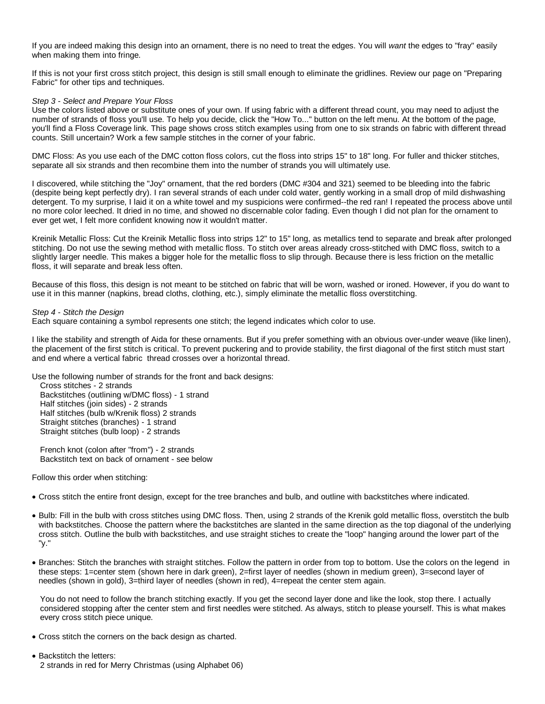If you are indeed making this design into an ornament, there is no need to treat the edges. You will want the edges to "fray" easily when making them into fringe.

If this is not your first cross stitch project, this design is still small enough to eliminate the gridlines. Review our page on "Preparing Fabric" for other tips and techniques.

#### Step 3 - Select and Prepare Your Floss

Use the colors listed above or substitute ones of your own. If using fabric with a different thread count, you may need to adjust the number of strands of floss you'll use. To help you decide, click the "How To..." button on the left menu. At the bottom of the page, you'll find a Floss Coverage link. This page shows cross stitch examples using from one to six strands on fabric with different thread counts. Still uncertain? Work a few sample stitches in the corner of your fabric.

DMC Floss: As you use each of the DMC cotton floss colors, cut the floss into strips 15" to 18" long. For fuller and thicker stitches, separate all six strands and then recombine them into the number of strands you will ultimately use.

I discovered, while stitching the "Joy" ornament, that the red borders (DMC #304 and 321) seemed to be bleeding into the fabric (despite being kept perfectly dry). I ran several strands of each under cold water, gently working in a small drop of mild dishwashing detergent. To my surprise, I laid it on a white towel and my suspicions were confirmed--the red ran! I repeated the process above until no more color leeched. It dried in no time, and showed no discernable color fading. Even though I did not plan for the ornament to ever get wet, I felt more confident knowing now it wouldn't matter.

Kreinik Metallic Floss: Cut the Kreinik Metallic floss into strips 12" to 15" long, as metallics tend to separate and break after prolonged stitching. Do not use the sewing method with metallic floss. To stitch over areas already cross-stitched with DMC floss, switch to a slightly larger needle. This makes a bigger hole for the metallic floss to slip through. Because there is less friction on the metallic floss, it will separate and break less often.

Because of this floss, this design is not meant to be stitched on fabric that will be worn, washed or ironed. However, if you do want to use it in this manner (napkins, bread cloths, clothing, etc.), simply eliminate the metallic floss overstitching.

#### Step 4 - Stitch the Design

Each square containing a symbol represents one stitch; the legend indicates which color to use.

I like the stability and strength of Aida for these ornaments. But if you prefer something with an obvious over-under weave (like linen), the placement of the first stitch is critical. To prevent puckering and to provide stability, the first diagonal of the first stitch must start and end where a vertical fabric thread crosses over a horizontal thread.

Use the following number of strands for the front and back designs:

Cross stitches - 2 strands Backstitches (outlining w/DMC floss) - 1 strand Half stitches (join sides) - 2 strands Half stitches (bulb w/Krenik floss) 2 strands Straight stitches (branches) - 1 strand Straight stitches (bulb loop) - 2 strands

French knot (colon after "from") - 2 strands Backstitch text on back of ornament - see below

Follow this order when stitching:

- Cross stitch the entire front design, except for the tree branches and bulb, and outline with backstitches where indicated.
- Bulb: Fill in the bulb with cross stitches using DMC floss. Then, using 2 strands of the Krenik gold metallic floss, overstitch the bulb with backstitches. Choose the pattern where the backstitches are slanted in the same direction as the top diagonal of the underlying cross stitch. Outline the bulb with backstitches, and use straight stiches to create the "loop" hanging around the lower part of the "y."
- Branches: Stitch the branches with straight stitches. Follow the pattern in order from top to bottom. Use the colors on the legend in these steps: 1=center stem (shown here in dark green), 2=first layer of needles (shown in medium green), 3=second layer of needles (shown in gold), 3=third layer of needles (shown in red), 4=repeat the center stem again.

You do not need to follow the branch stitching exactly. If you get the second layer done and like the look, stop there. I actually considered stopping after the center stem and first needles were stitched. As always, stitch to please yourself. This is what makes every cross stitch piece unique.

- Cross stitch the corners on the back design as charted.
- Backstitch the letters: 2 strands in red for Merry Christmas (using Alphabet 06)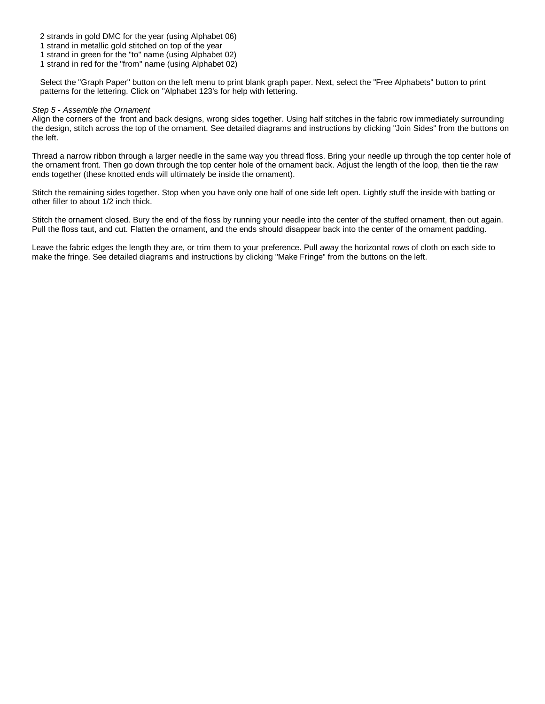2 strands in gold DMC for the year (using Alphabet 06)

1 strand in metallic gold stitched on top of the year

1 strand in green for the "to" name (using Alphabet 02)

1 strand in red for the "from" name (using Alphabet 02)

Select the "Graph Paper" button on the left menu to print blank graph paper. Next, select the "Free Alphabets" button to print patterns for the lettering. Click on "Alphabet 123's for help with lettering.

#### Step 5 - Assemble the Ornament

Align the corners of the front and back designs, wrong sides together. Using half stitches in the fabric row immediately surrounding the design, stitch across the top of the ornament. See detailed diagrams and instructions by clicking "Join Sides" from the buttons on the left.

Thread a narrow ribbon through a larger needle in the same way you thread floss. Bring your needle up through the top center hole of the ornament front. Then go down through the top center hole of the ornament back. Adjust the length of the loop, then tie the raw ends together (these knotted ends will ultimately be inside the ornament).

Stitch the remaining sides together. Stop when you have only one half of one side left open. Lightly stuff the inside with batting or other filler to about 1/2 inch thick.

Stitch the ornament closed. Bury the end of the floss by running your needle into the center of the stuffed ornament, then out again. Pull the floss taut, and cut. Flatten the ornament, and the ends should disappear back into the center of the ornament padding.

Leave the fabric edges the length they are, or trim them to your preference. Pull away the horizontal rows of cloth on each side to make the fringe. See detailed diagrams and instructions by clicking "Make Fringe" from the buttons on the left.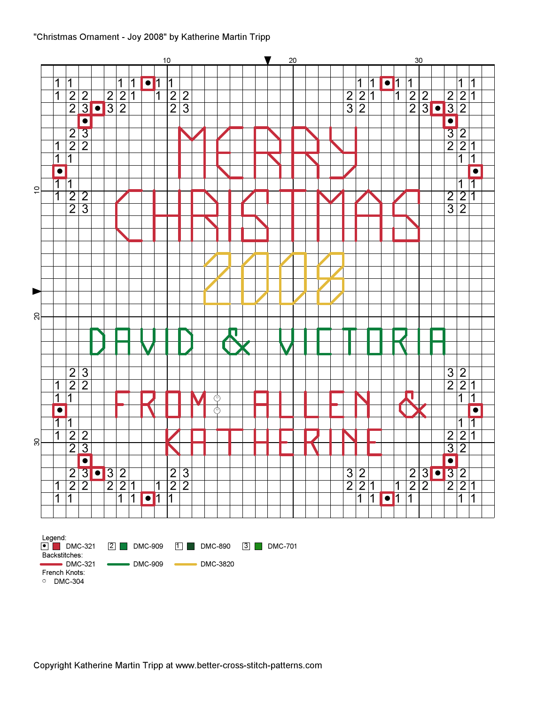### "Christmas Ornament - Joy 2008" by Katherine Martin Tripp

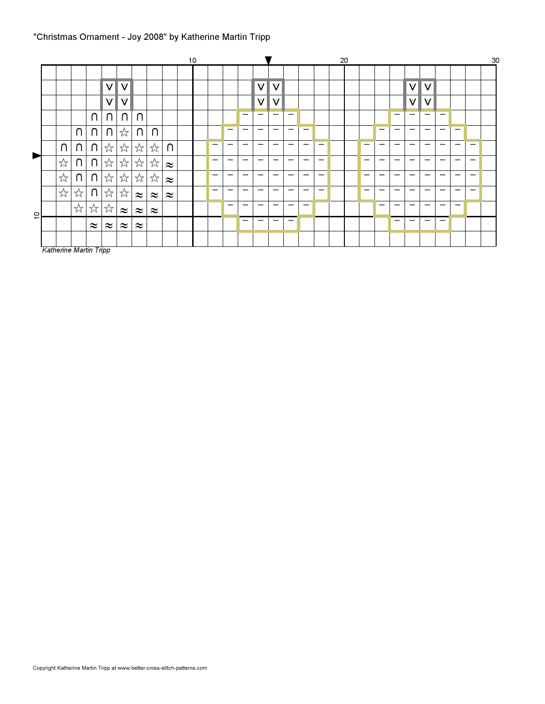# "Christmas Ornament - Joy 2008" by Katherine Martin Tripp

|                       |   |        |           |           |           |                              |           |           | 10 |                          |   |                          |                          |                          |                          |   |                          | 20 |   |   |    |                          |                          |   |                          |                          | 30 |
|-----------------------|---|--------|-----------|-----------|-----------|------------------------------|-----------|-----------|----|--------------------------|---|--------------------------|--------------------------|--------------------------|--------------------------|---|--------------------------|----|---|---|----|--------------------------|--------------------------|---|--------------------------|--------------------------|----|
|                       |   |        |           |           |           |                              |           |           |    |                          |   |                          |                          |                          |                          |   |                          |    |   |   |    |                          |                          |   |                          |                          |    |
|                       |   |        |           | $\vee$    | V         |                              |           |           |    |                          |   |                          | $\vee$                   | ۷                        |                          |   |                          |    |   |   |    | ۷I                       | V                        |   |                          |                          |    |
|                       |   |        |           | $\vee$    | $\vee$    |                              |           |           |    |                          |   |                          | V                        | $\vee$                   |                          |   |                          |    |   |   |    | $\vee$                   | V                        |   |                          |                          |    |
|                       |   |        | $\cap$    | $\cap$    | $\cap$    | $\cap$                       |           |           |    |                          |   | –                        | $\qquad \qquad$          | $\qquad \qquad$          | -                        |   |                          |    |   |   | -  | $\qquad \qquad$          | $\overline{\phantom{0}}$ | – |                          |                          |    |
|                       |   | $\cap$ | n.        | $\cap$    | ☆         | $\cap$                       | ⋂         |           |    |                          | - |                          | $\overline{\phantom{0}}$ | $\overline{\phantom{m}}$ | -                        | - |                          |    |   |   | -  | $\overline{\phantom{m}}$ | -                        | - | -                        |                          |    |
|                       | U | $\cap$ | $\cap$    | ☆         | ☆         | ☆                            | ☆         | $\cap$    |    | $\overline{\phantom{0}}$ | - |                          |                          | –                        |                          |   | $\overline{\phantom{m}}$ |    |   | - | -  |                          | -                        |   | -                        | -                        |    |
| $\blacktriangleright$ | ☆ | U      | $\cap$    | ☆         | ☆         | $\stackrel{\wedge}{\bowtie}$ | ☆         | $\approx$ |    | —                        | - | —                        | -                        | —                        | -                        | - | -                        |    | - | — | -  | -                        | -                        | - | —                        | -                        |    |
|                       | ☆ | U      | $\cap$    | ☆         | ☆         | $\stackrel{\wedge}{\bowtie}$ | ☆         | $\approx$ |    | -                        | - |                          | -                        | –                        | -                        |   | -                        |    | – | - | -- |                          | -                        | - |                          | -                        |    |
|                       | ☆ | ☆      | $\cap$    | ☆         | ☆         | $\approx$                    | $\approx$ | $\approx$ |    | —                        | - | $\overline{\phantom{m}}$ | $\overline{\phantom{0}}$ | $\overline{\phantom{m}}$ | -                        | - | -                        |    | - | - | -  |                          | -                        | - | $\overline{\phantom{0}}$ | $\overline{\phantom{0}}$ |    |
| $\overline{c}$        |   | ☆      | ☆         | ☆         | $\approx$ | $\approx$                    | $\approx$ |           |    |                          | - | $\overline{\phantom{0}}$ | -                        | -                        | $\overline{\phantom{0}}$ | - |                          |    |   | - | -  |                          | -                        | - | $\overline{\phantom{0}}$ |                          |    |
|                       |   |        | $\approx$ | $\approx$ | $\approx$ | $\approx$                    |           |           |    |                          |   | —                        | -                        | $\overline{\phantom{m}}$ | $\overline{\phantom{0}}$ |   |                          |    |   |   | -  |                          | $\overline{\phantom{0}}$ | - |                          |                          |    |
|                       |   |        |           |           |           |                              |           |           |    |                          |   |                          |                          |                          |                          |   |                          |    |   |   |    |                          |                          |   |                          |                          |    |

Katherine Martin Tripp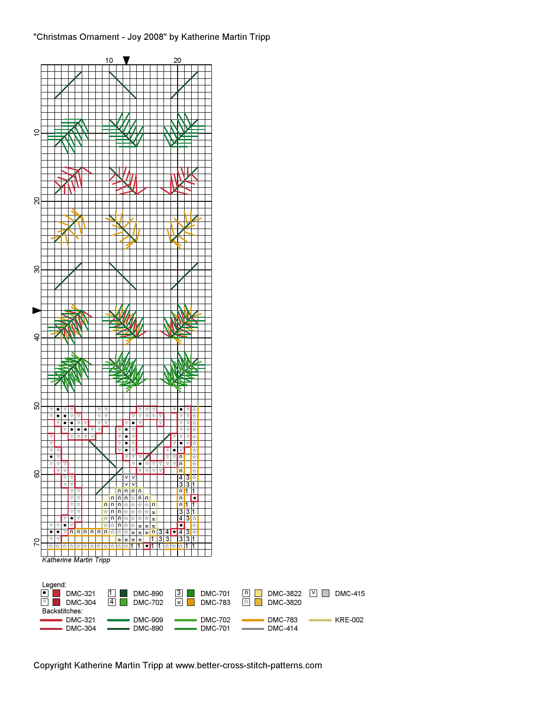## "Christmas Ornament - Joy 2008" by Katherine Martin Tripp



Copyright Katherine Martin Tripp at www.better-cross-stitch-patterns.com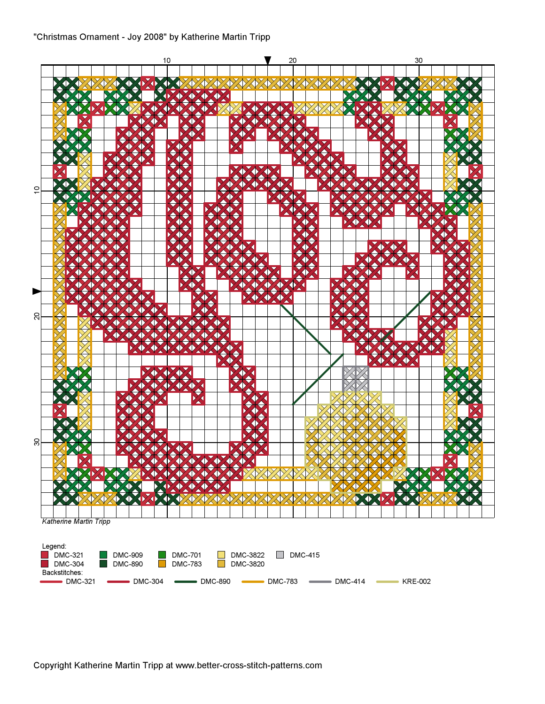

Copyright Katherine Martin Tripp at www.better-cross-stitch-patterns.com